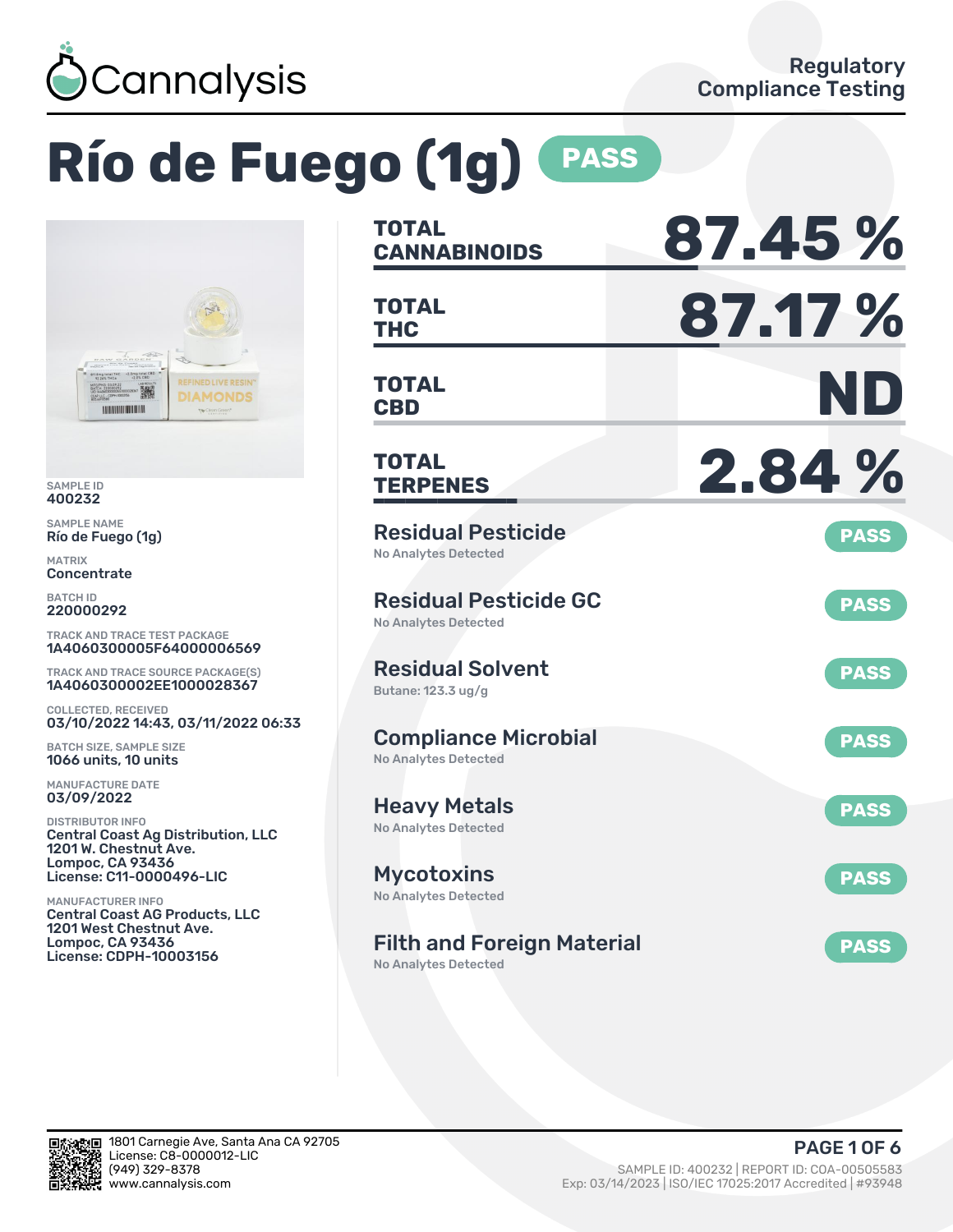

# **Río de Fuego (1g) PASS**



SAMPLE ID 400232

SAMPLE NAME Río de Fuego (1g)

MATRIX Concentrate

BATCH ID 220000292

TRACK AND TRACE TEST PACKAGE 1A4060300005F64000006569

TRACK AND TRACE SOURCE PACKAGE(S) 1A4060300002EE1000028367

COLLECTED, RECEIVED 03/10/2022 14:43, 03/11/2022 06:33

BATCH SIZE, SAMPLE SIZE 1066 units, 10 units

MANUFACTURE DATE 03/09/2022

DISTRIBUTOR INFO Central Coast Ag Distribution, LLC 1201 W. Chestnut Ave. Lompoc, CA 93436 License: C11-0000496-LIC

MANUFACTURER INFO Central Coast AG Products, LLC 1201 West Chestnut Ave. Lompoc, CA 93436 License: CDPH-10003156

| <b>TOTAL</b><br><b>CANNABINOIDS</b>                        | 87.45%      |
|------------------------------------------------------------|-------------|
| <b>TOTAL</b><br><b>THC</b>                                 | 87.17%      |
| TOTAL<br><b>CBD</b>                                        | ND          |
| <b>TOTAL</b><br><b>TERPENES</b>                            | 2.84 %      |
| <b>Residual Pesticide</b><br><b>No Analytes Detected</b>   | <b>PASS</b> |
| <b>Residual Pesticide GC</b><br>No Analytes Detected       | <b>PASS</b> |
| <b>Residual Solvent</b><br>Butane: 123.3 ug/g              | <b>PASS</b> |
| <b>Compliance Microbial</b><br><b>No Analytes Detected</b> | <b>PASS</b> |
| <b>Heavy Metals</b><br>No Analytes Detected                | <b>PASS</b> |
| <b>Mycotoxins</b><br>No Analytes Detected                  | <b>PASS</b> |
| <b>Filth and Foreign Material</b>                          | <b>PASS</b> |

No Analytes Detected

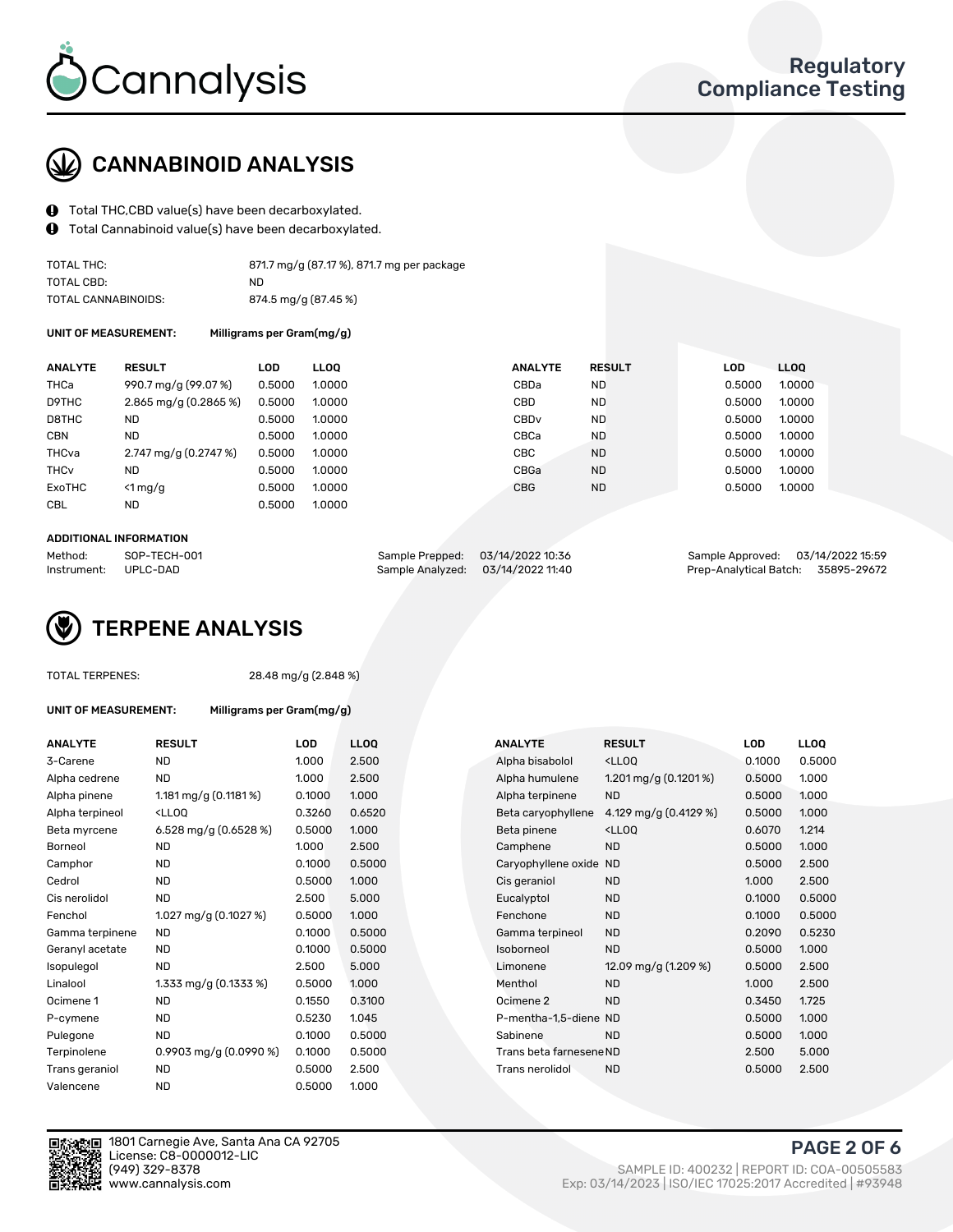

## CANNABINOID ANALYSIS

- Total THC,CBD value(s) have been decarboxylated.
- Total Cannabinoid value(s) have been decarboxylated.  $\mathbf{\Theta}$

| TOTAL THC:          | 871.7 mg/g (87.17 %), 871.7 mg per package |
|---------------------|--------------------------------------------|
| TOTAL CBD:          | ND.                                        |
| TOTAL CANNABINOIDS: | 874.5 mg/g (87.45 %)                       |

UNIT OF MEASUREMENT: Milligrams per Gram(mg/g)

| <b>ANALYTE</b>         | <b>RESULT</b>                           | <b>LOD</b> | <b>LLOO</b> | <b>ANALYTE</b>   | <b>RESULT</b> | <b>LOD</b> | <b>LLOO</b> |
|------------------------|-----------------------------------------|------------|-------------|------------------|---------------|------------|-------------|
| THCa                   | 990.7 mg/g (99.07 %)                    | 0.5000     | 1.0000      | CBDa             | <b>ND</b>     | 0.5000     | 1.0000      |
| D9THC                  | $2.865$ mg/g (0.2865 %)                 | 0.5000     | 1.0000      | CBD              | <b>ND</b>     | 0.5000     | 1.0000      |
| D8THC                  | ND.                                     | 0.5000     | 1.0000      | CBD <sub>v</sub> | <b>ND</b>     | 0.5000     | 1.0000      |
| <b>CBN</b>             | <b>ND</b>                               | 0.5000     | 1.0000      | CBCa             | <b>ND</b>     | 0.5000     | 1.0000      |
| THCva                  | $2.747 \text{ mg/g} (0.2747 \text{ %})$ | 0.5000     | 1.0000      | CBC              | <b>ND</b>     | 0.5000     | 1.0000      |
| <b>THC<sub>v</sub></b> | <b>ND</b>                               | 0.5000     | 1.0000      | CBGa             | <b>ND</b>     | 0.5000     | 1.0000      |
| ExoTHC                 | $<$ 1 mg/g                              | 0.5000     | 1.0000      | <b>CBG</b>       | <b>ND</b>     | 0.5000     | 1.0000      |
| <b>CBL</b>             | <b>ND</b>                               | 0.5000     | 1.0000      |                  |               |            |             |
|                        |                                         |            |             |                  |               |            |             |

#### ADDITIONAL INFORMATION

| Method:              | SOP-TECH-001 |                                   | Sample Prepped: 03/14/2022 10:36 | Sample Approved: 03/14/2022 15:59  |  |
|----------------------|--------------|-----------------------------------|----------------------------------|------------------------------------|--|
| Instrument: UPLC-DAD |              | Sample Analyzed: 03/14/2022 11:40 |                                  | Prep-Analytical Batch: 35895-29672 |  |

## TERPENE ANALYSIS

|  | <b>TOTAL TERPENES:</b> |
|--|------------------------|
|--|------------------------|

28.48 mg/g (2.848 %)

| UNIT OF MEASUREMENT: |  |
|----------------------|--|
|----------------------|--|

Milligrams per Gram(mg/g)

| <b>ANALYTE</b>  | <b>RESULT</b>                                                                                                                             | <b>LOD</b> | <b>LLOO</b> | <b>ANALYTE</b>          | <b>RESULT</b>                                      | <b>LOD</b> | <b>LLOQ</b> |
|-----------------|-------------------------------------------------------------------------------------------------------------------------------------------|------------|-------------|-------------------------|----------------------------------------------------|------------|-------------|
| 3-Carene        | <b>ND</b>                                                                                                                                 | 1.000      | 2.500       | Alpha bisabolol         | <ll0q< td=""><td>0.1000</td><td>0.500</td></ll0q<> | 0.1000     | 0.500       |
| Alpha cedrene   | <b>ND</b>                                                                                                                                 | 1.000      | 2.500       | Alpha humulene          | 1.201 mg/g $(0.1201\%)$                            | 0.5000     | 1.000       |
| Alpha pinene    | 1.181 mg/g $(0.1181\%)$                                                                                                                   | 0.1000     | 1.000       | Alpha terpinene         | <b>ND</b>                                          | 0.5000     | 1.000       |
| Alpha terpineol | <lloq< td=""><td>0.3260</td><td>0.6520</td><td>Beta caryophyllene</td><td>4.129 mg/g (0.4129 %)</td><td>0.5000</td><td>1.000</td></lloq<> | 0.3260     | 0.6520      | Beta caryophyllene      | 4.129 mg/g (0.4129 %)                              | 0.5000     | 1.000       |
| Beta myrcene    | 6.528 mg/g $(0.6528\%)$                                                                                                                   | 0.5000     | 1.000       | Beta pinene             | <ll0q< td=""><td>0.6070</td><td>1.214</td></ll0q<> | 0.6070     | 1.214       |
| Borneol         | ND                                                                                                                                        | 1.000      | 2.500       | Camphene                | <b>ND</b>                                          | 0.5000     | 1.000       |
| Camphor         | <b>ND</b>                                                                                                                                 | 0.1000     | 0.5000      | Caryophyllene oxide     | <b>ND</b>                                          | 0.5000     | 2.500       |
| Cedrol          | ND                                                                                                                                        | 0.5000     | 1.000       | Cis geraniol            | <b>ND</b>                                          | 1.000      | 2.500       |
| Cis nerolidol   | <b>ND</b>                                                                                                                                 | 2.500      | 5.000       | Eucalyptol              | <b>ND</b>                                          | 0.1000     | 0.500       |
| Fenchol         | 1.027 mg/g (0.1027 %)                                                                                                                     | 0.5000     | 1.000       | Fenchone                | <b>ND</b>                                          | 0.1000     | 0.500       |
| Gamma terpinene | ND                                                                                                                                        | 0.1000     | 0.5000      | Gamma terpineol         | <b>ND</b>                                          | 0.2090     | 0.523       |
| Geranyl acetate | <b>ND</b>                                                                                                                                 | 0.1000     | 0.5000      | Isoborneol              | <b>ND</b>                                          | 0.5000     | 1.000       |
| Isopulegol      | <b>ND</b>                                                                                                                                 | 2.500      | 5.000       | Limonene                | 12.09 mg/g $(1.209\%)$                             | 0.5000     | 2.500       |
| Linalool        | 1.333 mg/g (0.1333 %)                                                                                                                     | 0.5000     | 1.000       | Menthol                 | <b>ND</b>                                          | 1.000      | 2.500       |
| Ocimene 1       | ND                                                                                                                                        | 0.1550     | 0.3100      | Ocimene 2               | <b>ND</b>                                          | 0.3450     | 1.725       |
| P-cymene        | <b>ND</b>                                                                                                                                 | 0.5230     | 1.045       | P-mentha-1,5-diene ND   |                                                    | 0.5000     | 1.000       |
| Pulegone        | <b>ND</b>                                                                                                                                 | 0.1000     | 0.5000      | Sabinene                | <b>ND</b>                                          | 0.5000     | 1.000       |
| Terpinolene     | 0.9903 mg/g $(0.0990\%)$                                                                                                                  | 0.1000     | 0.5000      | Trans beta farnesene ND |                                                    | 2.500      | 5.000       |
| Trans geraniol  | ND                                                                                                                                        | 0.5000     | 2.500       | Trans nerolidol         | <b>ND</b>                                          | 0.5000     | 2.500       |
| Valencene       | <b>ND</b>                                                                                                                                 | 0.5000     | 1.000       |                         |                                                    |            |             |

| <b>ANALYTE</b>  | <b>RESULT</b>                                                                                                                                      | LOD    | <b>LLOQ</b> |  | <b>ANALYTE</b>          | <b>RESULT</b>                                       | LOD    | <b>LLOQ</b> |
|-----------------|----------------------------------------------------------------------------------------------------------------------------------------------------|--------|-------------|--|-------------------------|-----------------------------------------------------|--------|-------------|
| 3-Carene        | <b>ND</b>                                                                                                                                          | 1.000  | 2.500       |  | Alpha bisabolol         | <lloq< td=""><td>0.1000</td><td>0.5000</td></lloq<> | 0.1000 | 0.5000      |
| Alpha cedrene   | ND.                                                                                                                                                | 1.000  | 2.500       |  | Alpha humulene          | 1.201 mg/g $(0.1201\%)$                             | 0.5000 | 1.000       |
| Alpha pinene    | 1.181 mg/g $(0.1181\%)$                                                                                                                            | 0.1000 | 1.000       |  | Alpha terpinene         | <b>ND</b>                                           | 0.5000 | 1.000       |
| Alpha terpineol | <lloq< td=""><td>0.3260</td><td>0.6520</td><td></td><td>Beta caryophyllene</td><td>4.129 mg/g (0.4129 %)</td><td>0.5000</td><td>1.000</td></lloq<> | 0.3260 | 0.6520      |  | Beta caryophyllene      | 4.129 mg/g (0.4129 %)                               | 0.5000 | 1.000       |
| Beta myrcene    | 6.528 mg/g $(0.6528\%)$                                                                                                                            | 0.5000 | 1.000       |  | Beta pinene             | <lloq< td=""><td>0.6070</td><td>1.214</td></lloq<>  | 0.6070 | 1.214       |
| Borneol         | <b>ND</b>                                                                                                                                          | 1.000  | 2.500       |  | Camphene                | <b>ND</b>                                           | 0.5000 | 1.000       |
| Camphor         | <b>ND</b>                                                                                                                                          | 0.1000 | 0.5000      |  | Caryophyllene oxide     | ND                                                  | 0.5000 | 2.500       |
| Cedrol          | <b>ND</b>                                                                                                                                          | 0.5000 | 1.000       |  | Cis geraniol            | <b>ND</b>                                           | 1.000  | 2.500       |
| Cis nerolidol   | <b>ND</b>                                                                                                                                          | 2.500  | 5.000       |  | Eucalyptol              | <b>ND</b>                                           | 0.1000 | 0.5000      |
| Fenchol         | 1.027 mg/g $(0.1027%)$                                                                                                                             | 0.5000 | 1.000       |  | Fenchone                | <b>ND</b>                                           | 0.1000 | 0.5000      |
| Gamma terpinene | ND.                                                                                                                                                | 0.1000 | 0.5000      |  | Gamma terpineol         | <b>ND</b>                                           | 0.2090 | 0.5230      |
| Geranyl acetate | <b>ND</b>                                                                                                                                          | 0.1000 | 0.5000      |  | Isoborneol              | <b>ND</b>                                           | 0.5000 | 1.000       |
| Isopulegol      | <b>ND</b>                                                                                                                                          | 2.500  | 5.000       |  | Limonene                | 12.09 mg/g (1.209 %)                                | 0.5000 | 2.500       |
| Linalool        | 1.333 mg/g $(0.1333\%)$                                                                                                                            | 0.5000 | 1.000       |  | Menthol                 | <b>ND</b>                                           | 1.000  | 2.500       |
| Ocimene 1       | <b>ND</b>                                                                                                                                          | 0.1550 | 0.3100      |  | Ocimene <sub>2</sub>    | <b>ND</b>                                           | 0.3450 | 1.725       |
| P-cymene        | <b>ND</b>                                                                                                                                          | 0.5230 | 1.045       |  | P-mentha-1,5-diene ND   |                                                     | 0.5000 | 1.000       |
| Pulegone        | <b>ND</b>                                                                                                                                          | 0.1000 | 0.5000      |  | Sabinene                | <b>ND</b>                                           | 0.5000 | 1.000       |
| Terpinolene     | 0.9903 mg/g $(0.0990\%)$                                                                                                                           | 0.1000 | 0.5000      |  | Trans beta farnesene ND |                                                     | 2.500  | 5.000       |
| Trans geraniol  | <b>ND</b>                                                                                                                                          | 0.5000 | 2.500       |  | Trans nerolidol         | <b>ND</b>                                           | 0.5000 | 2.500       |
|                 |                                                                                                                                                    |        |             |  |                         |                                                     |        |             |



1801 Carnegie Ave, Santa Ana CA 92705 License: C8-0000012-LIC<br>(949) 329-8378

PAGE 2 OF 6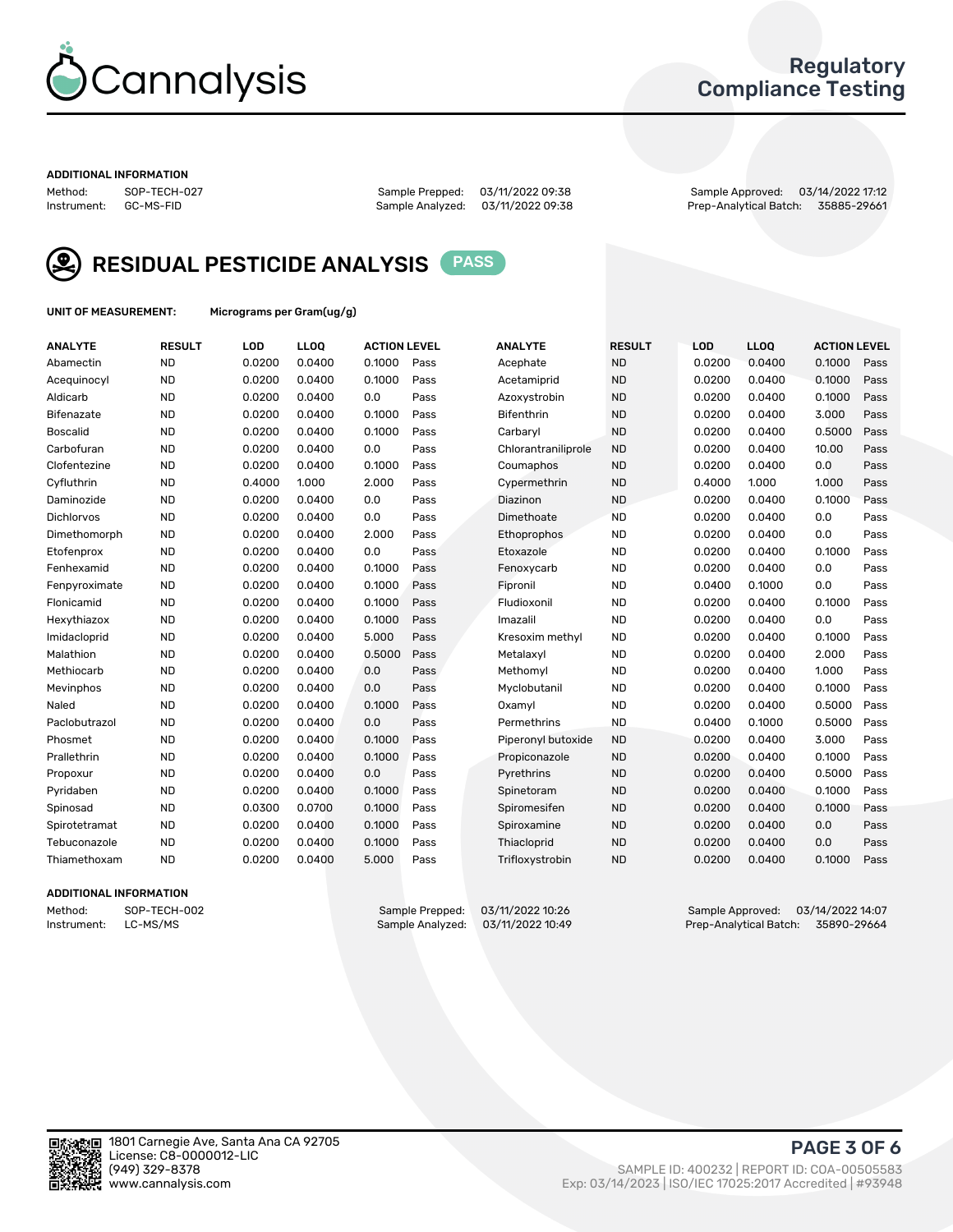

## Regulatory Compliance Testing

#### ADDITIONAL INFORMATION

Method: SOP-TECH-027 Sample Prepped: 03/11/2022 09:38 Sample Approved: 03/14/2022 17:12 Prep-Analytical Batch: 35885-29661



RESIDUAL PESTICIDE ANALYSIS PASS

UNIT OF MEASUREMENT: Micrograms per Gram(ug/g)

| <b>ANALYTE</b>    | <b>RESULT</b> | LOD    | LL <sub>OO</sub> | <b>ACTION LEVEL</b> |      | <b>ANALYTE</b>      | <b>RESULT</b> | <b>LOD</b> | <b>LLOQ</b> | <b>ACTION LEVEL</b> |      |
|-------------------|---------------|--------|------------------|---------------------|------|---------------------|---------------|------------|-------------|---------------------|------|
| Abamectin         | <b>ND</b>     | 0.0200 | 0.0400           | 0.1000              | Pass | Acephate            | <b>ND</b>     | 0.0200     | 0.0400      | 0.1000              | Pass |
| Acequinocyl       | <b>ND</b>     | 0.0200 | 0.0400           | 0.1000              | Pass | Acetamiprid         | <b>ND</b>     | 0.0200     | 0.0400      | 0.1000              | Pass |
| Aldicarb          | <b>ND</b>     | 0.0200 | 0.0400           | 0.0                 | Pass | Azoxystrobin        | <b>ND</b>     | 0.0200     | 0.0400      | 0.1000              | Pass |
| Bifenazate        | <b>ND</b>     | 0.0200 | 0.0400           | 0.1000              | Pass | <b>Bifenthrin</b>   | <b>ND</b>     | 0.0200     | 0.0400      | 3.000               | Pass |
| Boscalid          | <b>ND</b>     | 0.0200 | 0.0400           | 0.1000              | Pass | Carbarvl            | <b>ND</b>     | 0.0200     | 0.0400      | 0.5000              | Pass |
| Carbofuran        | <b>ND</b>     | 0.0200 | 0.0400           | 0.0                 | Pass | Chlorantraniliprole | <b>ND</b>     | 0.0200     | 0.0400      | 10.00               | Pass |
| Clofentezine      | <b>ND</b>     | 0.0200 | 0.0400           | 0.1000              | Pass | Coumaphos           | <b>ND</b>     | 0.0200     | 0.0400      | 0.0                 | Pass |
| Cyfluthrin        | <b>ND</b>     | 0.4000 | 1.000            | 2.000               | Pass | Cypermethrin        | <b>ND</b>     | 0.4000     | 1.000       | 1.000               | Pass |
| Daminozide        | <b>ND</b>     | 0.0200 | 0.0400           | 0.0                 | Pass | Diazinon            | <b>ND</b>     | 0.0200     | 0.0400      | 0.1000              | Pass |
| <b>Dichlorvos</b> | <b>ND</b>     | 0.0200 | 0.0400           | 0.0                 | Pass | Dimethoate          | <b>ND</b>     | 0.0200     | 0.0400      | 0.0                 | Pass |
| Dimethomorph      | <b>ND</b>     | 0.0200 | 0.0400           | 2.000               | Pass | <b>Ethoprophos</b>  | <b>ND</b>     | 0.0200     | 0.0400      | 0.0                 | Pass |
| Etofenprox        | <b>ND</b>     | 0.0200 | 0.0400           | 0.0                 | Pass | Etoxazole           | <b>ND</b>     | 0.0200     | 0.0400      | 0.1000              | Pass |
| Fenhexamid        | <b>ND</b>     | 0.0200 | 0.0400           | 0.1000              | Pass | Fenoxycarb          | <b>ND</b>     | 0.0200     | 0.0400      | 0.0                 | Pass |
| Fenpyroximate     | <b>ND</b>     | 0.0200 | 0.0400           | 0.1000              | Pass | Fipronil            | <b>ND</b>     | 0.0400     | 0.1000      | 0.0                 | Pass |
| Flonicamid        | <b>ND</b>     | 0.0200 | 0.0400           | 0.1000              | Pass | Fludioxonil         | <b>ND</b>     | 0.0200     | 0.0400      | 0.1000              | Pass |
| Hexythiazox       | <b>ND</b>     | 0.0200 | 0.0400           | 0.1000              | Pass | Imazalil            | <b>ND</b>     | 0.0200     | 0.0400      | 0.0                 | Pass |
| Imidacloprid      | <b>ND</b>     | 0.0200 | 0.0400           | 5.000               | Pass | Kresoxim methyl     | <b>ND</b>     | 0.0200     | 0.0400      | 0.1000              | Pass |
| Malathion         | <b>ND</b>     | 0.0200 | 0.0400           | 0.5000              | Pass | Metalaxyl           | <b>ND</b>     | 0.0200     | 0.0400      | 2.000               | Pass |
| Methiocarb        | <b>ND</b>     | 0.0200 | 0.0400           | 0.0                 | Pass | Methomyl            | <b>ND</b>     | 0.0200     | 0.0400      | 1.000               | Pass |
| Mevinphos         | <b>ND</b>     | 0.0200 | 0.0400           | 0.0                 | Pass | Myclobutanil        | <b>ND</b>     | 0.0200     | 0.0400      | 0.1000              | Pass |
| Naled             | <b>ND</b>     | 0.0200 | 0.0400           | 0.1000              | Pass | Oxamyl              | <b>ND</b>     | 0.0200     | 0.0400      | 0.5000              | Pass |
| Paclobutrazol     | <b>ND</b>     | 0.0200 | 0.0400           | 0.0                 | Pass | Permethrins         | <b>ND</b>     | 0.0400     | 0.1000      | 0.5000              | Pass |
| Phosmet           | <b>ND</b>     | 0.0200 | 0.0400           | 0.1000              | Pass | Piperonyl butoxide  | <b>ND</b>     | 0.0200     | 0.0400      | 3.000               | Pass |
| Prallethrin       | <b>ND</b>     | 0.0200 | 0.0400           | 0.1000              | Pass | Propiconazole       | <b>ND</b>     | 0.0200     | 0.0400      | 0.1000              | Pass |
| Propoxur          | <b>ND</b>     | 0.0200 | 0.0400           | 0.0                 | Pass | Pyrethrins          | <b>ND</b>     | 0.0200     | 0.0400      | 0.5000              | Pass |
| Pyridaben         | <b>ND</b>     | 0.0200 | 0.0400           | 0.1000              | Pass | Spinetoram          | <b>ND</b>     | 0.0200     | 0.0400      | 0.1000              | Pass |
| Spinosad          | <b>ND</b>     | 0.0300 | 0.0700           | 0.1000              | Pass | Spiromesifen        | <b>ND</b>     | 0.0200     | 0.0400      | 0.1000              | Pass |
| Spirotetramat     | <b>ND</b>     | 0.0200 | 0.0400           | 0.1000              | Pass | Spiroxamine         | <b>ND</b>     | 0.0200     | 0.0400      | 0.0                 | Pass |
| Tebuconazole      | <b>ND</b>     | 0.0200 | 0.0400           | 0.1000              | Pass | Thiacloprid         | <b>ND</b>     | 0.0200     | 0.0400      | 0.0                 | Pass |
| Thiamethoxam      | <b>ND</b>     | 0.0200 | 0.0400           | 5.000               | Pass | Trifloxystrobin     | <b>ND</b>     | 0.0200     | 0.0400      | 0.1000              | Pass |

#### ADDITIONAL INFORMATION

Method: SOP-TECH-002 Sample Prepped: 03/11/2022 10:26 Sample Approved: 03/14/2022 14:07<br>1959-Instrument: LC-MS/MS Sample Analyzed: 03/11/2022 10:49 Prep-Analytical Batch: 35890-29664 Prep-Analytical Batch: 35890-29664

PAGE 3 OF 6

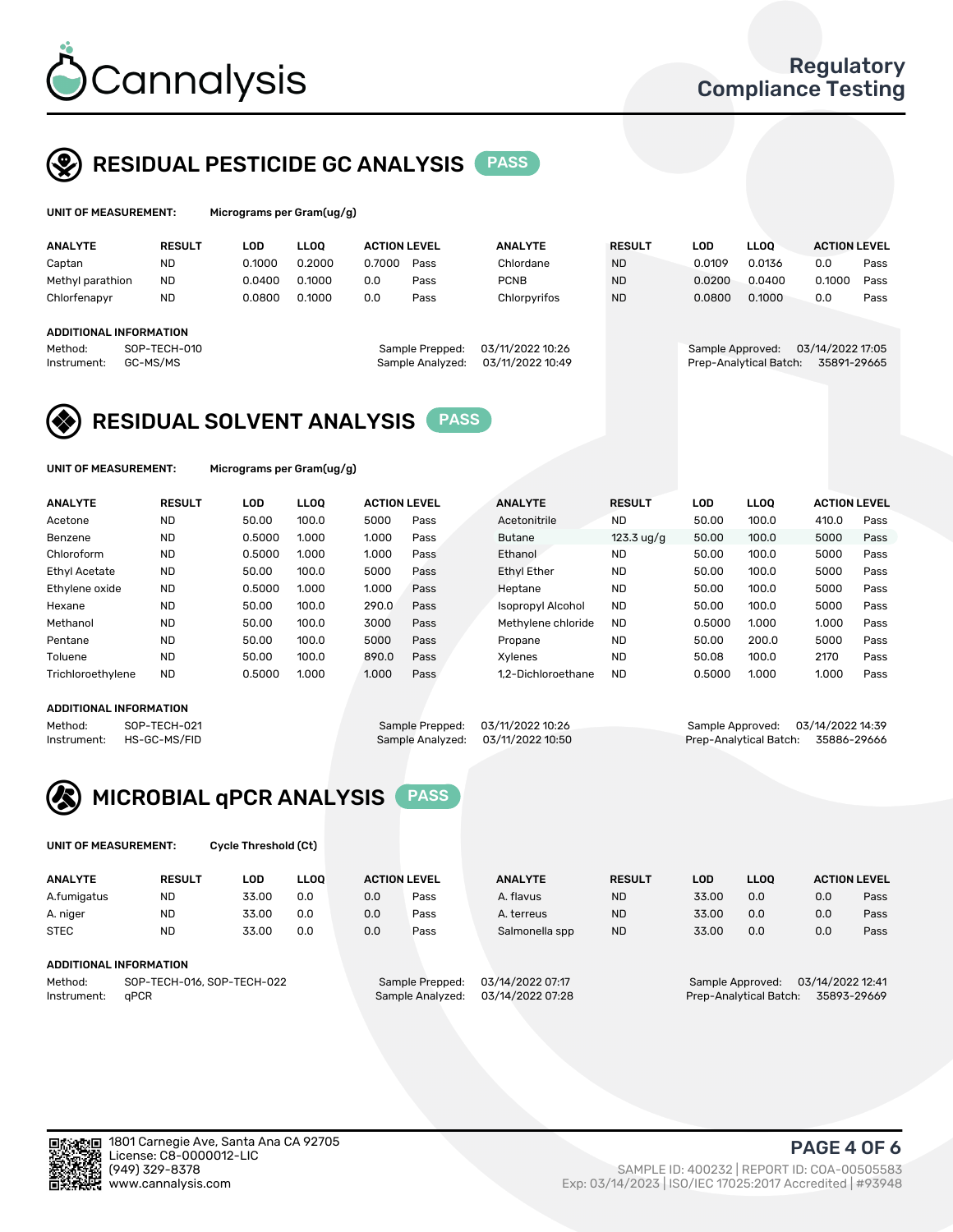

UNIT OF MEASUREMENT: Micrograms per Gram(ug/g)

## RESIDUAL PESTICIDE GC ANALYSIS PASS

| <b>ANALYTE</b>                                   | <b>RESULT</b>            | LOD    | <b>LLOO</b> | <b>ACTION LEVEL</b> |                                     | <b>ANALYTE</b>                       | <b>RESULT</b> | <b>LOD</b>       | <b>LLOO</b>            | <b>ACTION LEVEL</b>             |      |
|--------------------------------------------------|--------------------------|--------|-------------|---------------------|-------------------------------------|--------------------------------------|---------------|------------------|------------------------|---------------------------------|------|
| Captan                                           | <b>ND</b>                | 0.1000 | 0.2000      | 0.7000              | Pass                                | Chlordane                            | <b>ND</b>     | 0.0109           | 0.0136                 | 0.0                             | Pass |
| Methyl parathion                                 | <b>ND</b>                | 0.0400 | 0.1000      | 0.0                 | Pass                                | <b>PCNB</b>                          | <b>ND</b>     | 0.0200           | 0.0400                 | 0.1000                          | Pass |
| Chlorfenapyr                                     | <b>ND</b>                | 0.0800 | 0.1000      | 0.0                 | Pass                                | Chlorpyrifos                         | <b>ND</b>     | 0.0800           | 0.1000                 | 0.0                             | Pass |
| ADDITIONAL INFORMATION<br>Method:<br>Instrument: | SOP-TECH-010<br>GC-MS/MS |        |             |                     | Sample Prepped:<br>Sample Analyzed: | 03/11/2022 10:26<br>03/11/2022 10:49 |               | Sample Approved: | Prep-Analytical Batch: | 03/14/2022 17:05<br>35891-29665 |      |

## RESIDUAL SOLVENT ANALYSIS PASS

UNIT OF MEASUREMENT: Micrograms per Gram(ug/g)

| <b>ANALYTE</b>    | <b>RESULT</b> | <b>LOD</b> | <b>LLOO</b> | <b>ACTION LEVEL</b> |      | <b>ANALYTE</b>           | <b>RESULT</b>        | LOD    | <b>LLOO</b> | <b>ACTION LEVEL</b> |      |
|-------------------|---------------|------------|-------------|---------------------|------|--------------------------|----------------------|--------|-------------|---------------------|------|
| Acetone           | <b>ND</b>     | 50.00      | 100.0       | 5000                | Pass | Acetonitrile             | <b>ND</b>            | 50.00  | 100.0       | 410.0               | Pass |
| Benzene           | <b>ND</b>     | 0.5000     | 1.000       | 1.000               | Pass | Butane                   | $123.3 \text{ uq/q}$ | 50.00  | 100.0       | 5000                | Pass |
| Chloroform        | <b>ND</b>     | 0.5000     | 1.000       | 1.000               | Pass | Ethanol                  | <b>ND</b>            | 50.00  | 100.0       | 5000                | Pass |
| Ethyl Acetate     | <b>ND</b>     | 50.00      | 100.0       | 5000                | Pass | <b>Ethyl Ether</b>       | <b>ND</b>            | 50.00  | 100.0       | 5000                | Pass |
| Ethylene oxide    | <b>ND</b>     | 0.5000     | 1.000       | 1.000               | Pass | Heptane                  | <b>ND</b>            | 50.00  | 100.0       | 5000                | Pass |
| Hexane            | <b>ND</b>     | 50.00      | 100.0       | 290.0               | Pass | <b>Isopropyl Alcohol</b> | <b>ND</b>            | 50.00  | 100.0       | 5000                | Pass |
| Methanol          | <b>ND</b>     | 50.00      | 100.0       | 3000                | Pass | Methylene chloride       | <b>ND</b>            | 0.5000 | 1.000       | 1.000               | Pass |
| Pentane           | <b>ND</b>     | 50.00      | 100.0       | 5000                | Pass | Propane                  | <b>ND</b>            | 50.00  | 200.0       | 5000                | Pass |
| Toluene           | <b>ND</b>     | 50.00      | 100.0       | 890.0               | Pass | Xvlenes                  | <b>ND</b>            | 50.08  | 100.0       | 2170                | Pass |
| Trichloroethylene | <b>ND</b>     | 0.5000     | 1.000       | 1.000               | Pass | 1.2-Dichloroethane       | <b>ND</b>            | 0.5000 | 1.000       | 1.000               | Pass |

#### ADDITIONAL INFORMATION

Method: SOP-TECH-021 Sample Prepped: 03/11/2022 10:26 Sample Approved: 03/14/2022 14:39<br>Instrument: HS-GC-MS/FID Sample Analyzed: 03/11/2022 10:50 Prep-Analytical Batch: 35886-29666

Prep-Analytical Batch: 35886-29666



UNIT OF MEASUREMENT: Cycle Threshold (Ct)

| <b>ANALYTE</b>                        | <b>RESULT</b>          | LOD   | <b>LLOO</b> |                 | <b>ACTION LEVEL</b> | <b>ANALYTE</b>   | <b>RESULT</b> | LOD              | LL <sub>00</sub>       |     | <b>ACTION LEVEL</b> |
|---------------------------------------|------------------------|-------|-------------|-----------------|---------------------|------------------|---------------|------------------|------------------------|-----|---------------------|
| A.fumigatus                           | ND                     | 33.00 | 0.0         | 0.0             | Pass                | A. flavus        | <b>ND</b>     | 33.00            | 0.0                    | 0.0 | Pass                |
| A. niger                              | <b>ND</b>              | 33.00 | 0.0         | 0.0             | Pass                | A. terreus       | <b>ND</b>     | 33.00            | 0.0                    | 0.0 | Pass                |
| <b>STEC</b>                           | <b>ND</b>              | 33.00 | 0.0         | 0.0             | Pass                | Salmonella spp   | <b>ND</b>     | 33.00            | 0.0                    | 0.0 | Pass                |
|                                       | ADDITIONAL INFORMATION |       |             |                 |                     |                  |               |                  |                        |     |                     |
| SOP-TECH-016, SOP-TECH-022<br>Method: |                        |       |             | Sample Prepped: | 03/14/2022 07:17    |                  |               | Sample Approved: | 03/14/2022 12:41       |     |                     |
| Instrument:                           | aPCR                   |       |             |                 | Sample Analyzed:    | 03/14/2022 07:28 |               |                  | Prep-Analytical Batch: |     | 35893-29669         |



PAGE 4 OF 6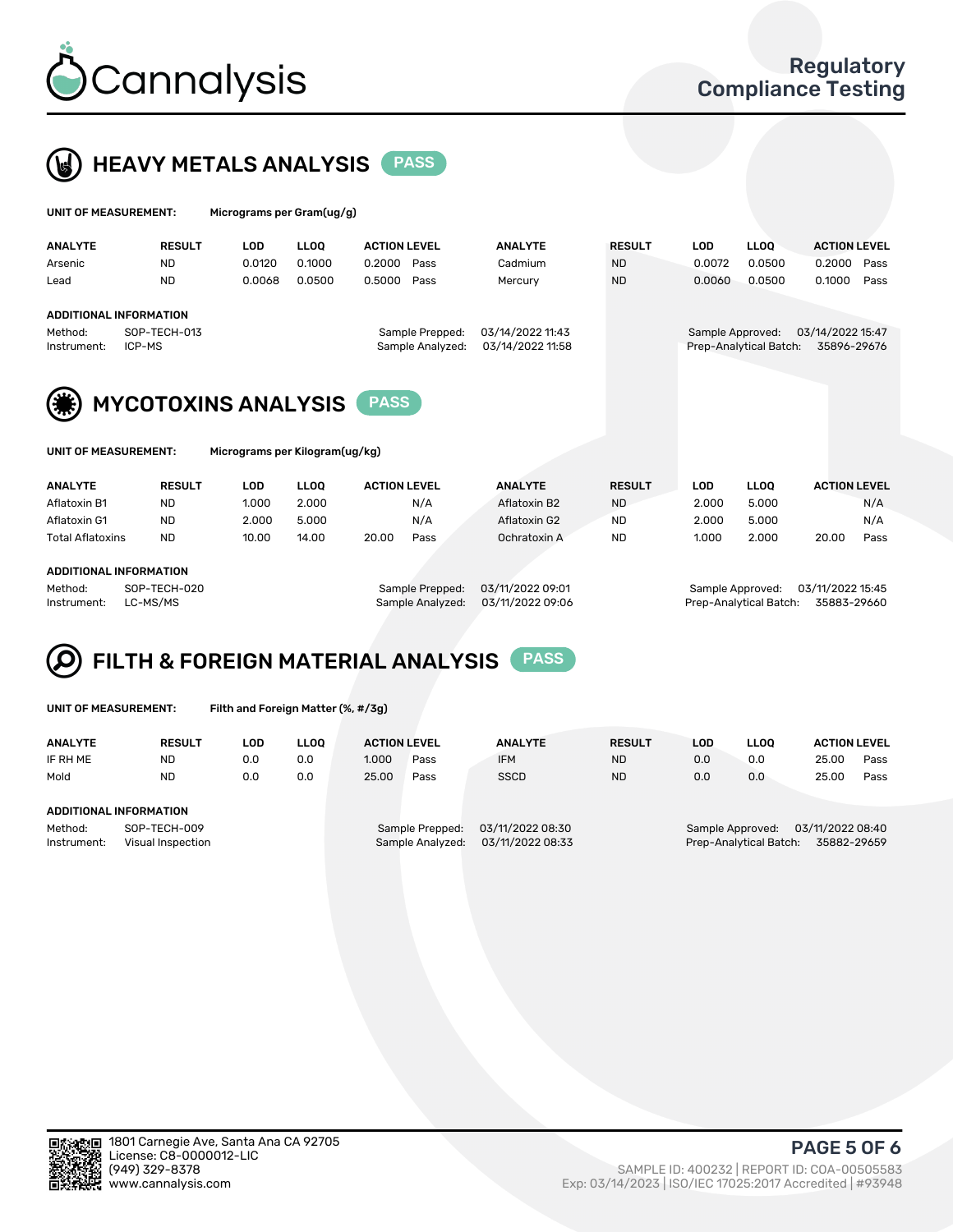



| UNIT OF MEASUREMENT:          |                        | Micrograms per Gram(ug/g) |             |                                     |                                      |               |                  |                        |                                 |      |  |
|-------------------------------|------------------------|---------------------------|-------------|-------------------------------------|--------------------------------------|---------------|------------------|------------------------|---------------------------------|------|--|
| <b>ANALYTE</b>                | <b>RESULT</b>          | LOD                       | <b>LLOO</b> | <b>ACTION LEVEL</b>                 | <b>ANALYTE</b>                       | <b>RESULT</b> | LOD              | <b>LLOO</b>            | <b>ACTION LEVEL</b>             |      |  |
| Arsenic                       | <b>ND</b>              | 0.0120                    | 0.1000      | 0.2000<br>Pass                      | Cadmium                              | <b>ND</b>     | 0.0072           | 0.0500                 | 0.2000                          | Pass |  |
| Lead                          | <b>ND</b>              | 0.0068                    | 0.0500      | 0.5000<br>Pass                      | Mercury                              | <b>ND</b>     | 0.0060           | 0.0500                 | 0.1000                          | Pass |  |
| <b>ADDITIONAL INFORMATION</b> |                        |                           |             |                                     |                                      |               |                  |                        |                                 |      |  |
| Method:<br>Instrument:        | SOP-TECH-013<br>ICP-MS |                           |             | Sample Prepped:<br>Sample Analyzed: | 03/14/2022 11:43<br>03/14/2022 11:58 |               | Sample Approved: | Prep-Analytical Batch: | 03/14/2022 15:47<br>35896-29676 |      |  |



MYCOTOXINS ANALYSIS PASS

Micrograms per Kilogram(ug/kg)

| <b>ANALYTE</b>          | <b>RESULT</b> | LOD   | <b>LLOO</b> | <b>ACTION LEVEL</b> |      | <b>ANALYTE</b> | <b>RESULT</b> | LOD   | <b>LLOO</b> | <b>ACTION LEVEL</b> |      |
|-------------------------|---------------|-------|-------------|---------------------|------|----------------|---------------|-------|-------------|---------------------|------|
| Aflatoxin B1            | <b>ND</b>     | 1.000 | 2.000       |                     | N/A  | Aflatoxin B2   | <b>ND</b>     | 2.000 | 5.000       |                     | N/A  |
| Aflatoxin G1            | <b>ND</b>     | 2.000 | 5.000       |                     | N/A  | Aflatoxin G2   | <b>ND</b>     | 2.000 | 5.000       |                     | N/A  |
| <b>Total Aflatoxins</b> | <b>ND</b>     | 10.00 | 14.00       | 20.00               | Pass | Ochratoxin A   | <b>ND</b>     | 1.000 | 2.000       | 20.00               | Pass |
|                         |               |       |             |                     |      |                |               |       |             |                     |      |

#### ADDITIONAL INFORMATION

Method: SOP-TECH-020 Sample Prepped: 03/11/2022 09:01 Sample Approved: 03/11/2022 15:45 Instrument: LC-MS/MS Sample Analyzed: 03/11/2022 09:06 Prep-Analytical Batch: 35883-29660

# FILTH & FOREIGN MATERIAL ANALYSIS PASS

UNIT OF MEASUREMENT: Filth and Foreign Matter (%, #/3g)

| <b>ANALYTE</b>                                              | <b>RESULT</b> | LOD. | <b>LLOO</b> | <b>ACTION LEVEL</b> |                                     | <b>ANALYTE</b>                       | <b>RESULT</b> | LOD | <b>LLOO</b> | <b>ACTION LEVEL</b>                                                           |      |  |  |
|-------------------------------------------------------------|---------------|------|-------------|---------------------|-------------------------------------|--------------------------------------|---------------|-----|-------------|-------------------------------------------------------------------------------|------|--|--|
| IF RH ME                                                    | <b>ND</b>     | 0.0  | 0.0         | 1.000               | Pass                                | <b>IFM</b>                           | <b>ND</b>     | 0.0 | 0.0         | 25.00                                                                         | Pass |  |  |
| Mold                                                        | <b>ND</b>     | 0.0  | 0.0         | 25.00               | Pass                                | <b>SSCD</b>                          | <b>ND</b>     | 0.0 | 0.0         | 25.00                                                                         | Pass |  |  |
| ADDITIONAL INFORMATION                                      |               |      |             |                     |                                     |                                      |               |     |             |                                                                               |      |  |  |
| Method:<br>SOP-TECH-009<br>Instrument:<br>Visual Inspection |               |      |             |                     | Sample Prepped:<br>Sample Analyzed: | 03/11/2022 08:30<br>03/11/2022 08:33 |               |     |             | 03/11/2022 08:40<br>Sample Approved:<br>Prep-Analytical Batch:<br>35882-29659 |      |  |  |



PAGE 5 OF 6